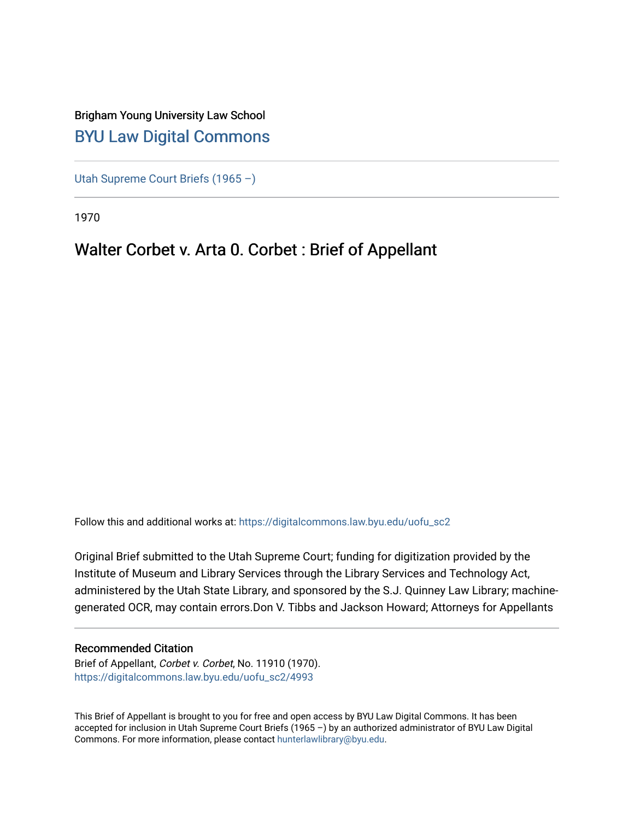## Brigham Young University Law School [BYU Law Digital Commons](https://digitalcommons.law.byu.edu/)

[Utah Supreme Court Briefs \(1965 –\)](https://digitalcommons.law.byu.edu/uofu_sc2)

1970

# Walter Corbet v. Arta 0. Corbet : Brief of Appellant

Follow this and additional works at: [https://digitalcommons.law.byu.edu/uofu\\_sc2](https://digitalcommons.law.byu.edu/uofu_sc2?utm_source=digitalcommons.law.byu.edu%2Fuofu_sc2%2F4993&utm_medium=PDF&utm_campaign=PDFCoverPages)

Original Brief submitted to the Utah Supreme Court; funding for digitization provided by the Institute of Museum and Library Services through the Library Services and Technology Act, administered by the Utah State Library, and sponsored by the S.J. Quinney Law Library; machinegenerated OCR, may contain errors.Don V. Tibbs and Jackson Howard; Attorneys for Appellants

#### Recommended Citation

Brief of Appellant, Corbet v. Corbet, No. 11910 (1970). [https://digitalcommons.law.byu.edu/uofu\\_sc2/4993](https://digitalcommons.law.byu.edu/uofu_sc2/4993?utm_source=digitalcommons.law.byu.edu%2Fuofu_sc2%2F4993&utm_medium=PDF&utm_campaign=PDFCoverPages) 

This Brief of Appellant is brought to you for free and open access by BYU Law Digital Commons. It has been accepted for inclusion in Utah Supreme Court Briefs (1965 –) by an authorized administrator of BYU Law Digital Commons. For more information, please contact [hunterlawlibrary@byu.edu](mailto:hunterlawlibrary@byu.edu).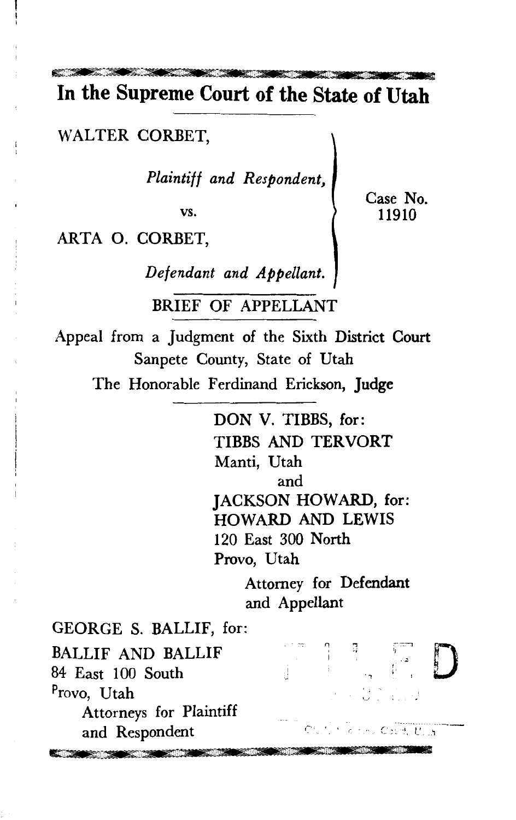**In the Supreme Court of the State of Utah** 

WALTER CORBET,

*Plaintiff and Respondent,* 

vs.

Case No. 11910

ARTA 0. CORBET,

*Defendant and Appellant.* 

BRIEF OF APPELLANT

Appeal from a Judgment of the Sixth District Court Sanpete County, State of Utah

The Honorable Ferdinand Erickson, Judge

DON V. TIBBS, for: TIBBS AND TERVORT Manti, Utah and JACKSON HOWARD, for: HOWARD AND LEWIS 120 East 300 North Provo, Utah

> Attorney for Defendant and Appellant

GEORGE S. BALLIF, for: ., '; D '1 :~-:-:::-i BALLIF AND BALLIF ~; I 84 East 100 South Provo, Utah u. Attorneys for Plaintiff and Respondent the company of the company of the company of the company of the company of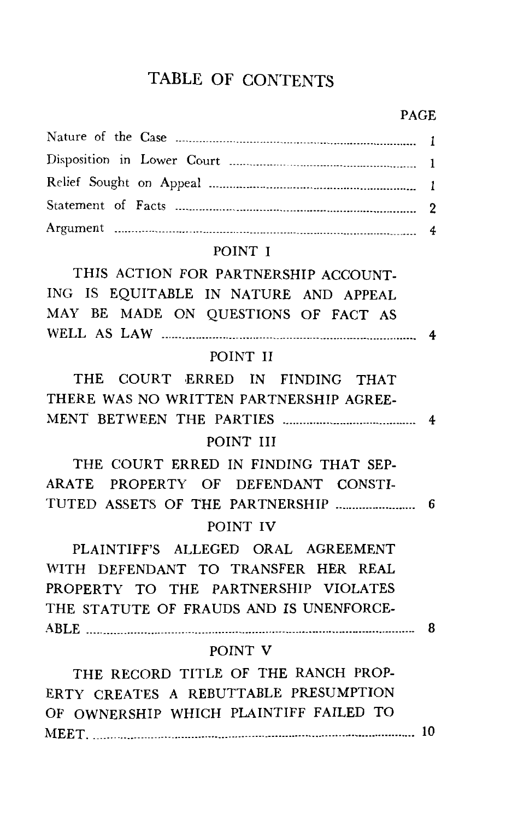## TABLE OF CONTENTS

#### PAGE

#### POINT I

THIS ACTION FOR PARTNERSHIP ACCOUNT-ING IS EQUITABLE IN NATURE AND APPEAL MAY BE MADE ON QUESTIONS OF FACT AS WELL AS LAW -------------------------------------·-·-------------------------------····· 4

## POINT II

THE COURT ERRED IN FINDING THAT THERE WAS NO WRITTEN PARTNERSHIP AGREE-MENT BETWEEN THE PARTIES ---------------------------------------- 4

#### POINT III

THE COURT ERRED IN FINDING THAT SEP-ARATE PROPERTY OF DEFENDANT CONSTI-TUTED ASSETS OF THE PARTNERSHIP------------------------ 6 POINT IV

PLAINTIFF'S ALLEGED ORAL AGREEMENT WITH DEFENDANT TO TRANSFER HER REAL PROPERTY TO THE PARTNERSHIP VIOLATES THE STATUTE OF FRAUDS AND IS UNENFORCE-ABLE ---------------------------·---------------·---------------------------------------------·-······· 8

#### POINT V

THE RECORD TITLE OF THE RANCH PROP-ERTY CREATES A REBUTTABLE PRESUMPTION OF OWNERSHIP WHICH PLAINTIFF FAILED TO 11EET. -----·----------------------------------------------------------------------·--··--·······--·--· 10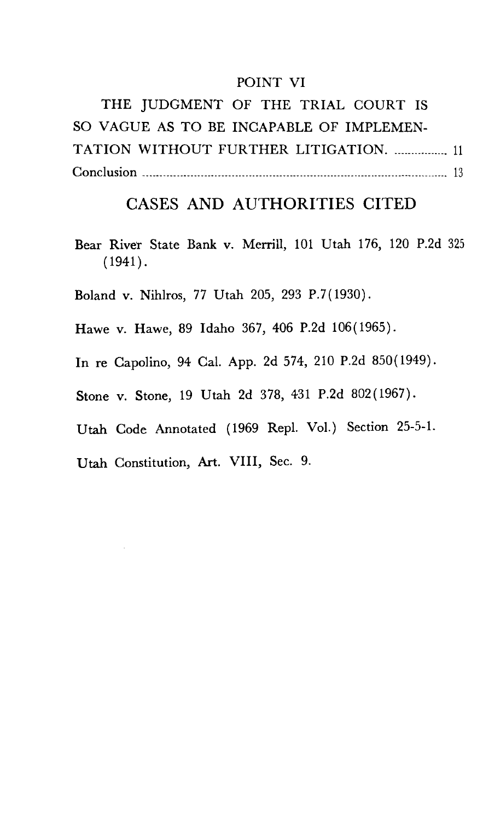#### POINT VI

THE JUDGMENT OF THE TRIAL COURT IS SO VAGUE AS TO BE INCAPABLE OF IMPLEMEN-TATION WITHOUT FURTHER LITIGATION. ................ 11 Conclusion -----------------------------------------------------------------------------------------· 13

## CASES AND AUTHORITIES CITED

Bear River State Bank v. Merrill, 101 Utah 176, 120 P.2d 325  $(1941).$ 

Boland v. Nihlros, 77 Utah 205, 293 P.7(1930).

Hawe v. Hawe, 89 Idaho 367, 406 P.2d 106(1965).

In re Capolino, 94 Cal. App. 2d 574, 210 P.2d 850(1949).

Stone v. Stone, 19 Utah 2d 378, 431 P.2d 802(1967).

Utah Code Annotated (1969 Repl. Vol.) Section 25-5-1.

Utah Constitution, Art. VIII, Sec. 9.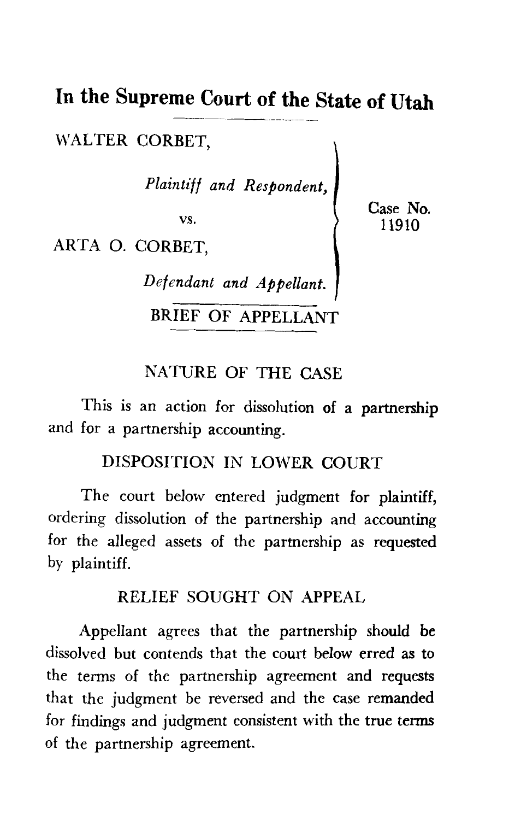# **In the Supreme Court of the State of Utah**

WALTER CORBET.

*Plaintiff and Respondent,* 

vs.

ARTA 0. CORBET,

*Def end ant and Appellant.* 

BRIEF OF APPELLANT

### NATURE OF THE CASE

This is an action for dissolution of a partnership and for a partnership accounting.

## DISPOSITION IN LOWER COURT

The court below entered judgment for plaintiff, ordering dissolution of the partnership and accounting for the alleged assets of the partnership as requested by plaintiff.

## RELIEF SOUGHT ON APPEAL

Appellant agrees that the partnership should be dissolved but contends that the court below erred as to the terms of the partnership agreement and requests that the judgment be reversed and the case remanded for findings and judgment consistent with the true terms of the partnership agreement.

Case No. 11910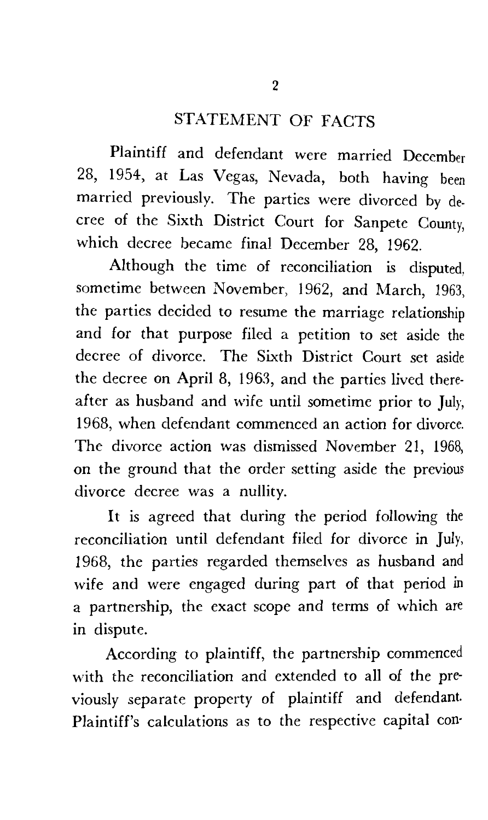## STATEMENT OF FACTS

Plaintiff and defendant were married December 28, 1954, at Las Vegas, Nevada, both having been married previously. The parties were divorced by decree of the Sixth District Court for Sanpete County, which decree became final December 28, 1962.

Although the time of reconciliation is disputed, sometime between November, 1962, and March, 1963, the parties decided to resume the marriage relationship and for that purpose filed a petition to set aside the decree of divorce. The Sixth District Court set aside the decree on April 8, 1963, and the parties lived thereafter as husband and wife until sometime prior to July, 1968, when defendant commenced an action for divorce. The divorce action was dismissed November 21, 1968, on the ground that the order setting aside the previous divorce decree was a nullity.

It is agreed that during the period following the reconciliation until defendant filed for divorce in July, 1968, the parties regarded themselves as husband and wife and were engaged during part of that period in a partnership, the exact scope and terms of which are in dispute.

According to plaintiff, the partnership commenced with the reconciliation and extended to all of the previously separate property of plaintiff and defendant. Plaintiff's calculations as to the respective capital con·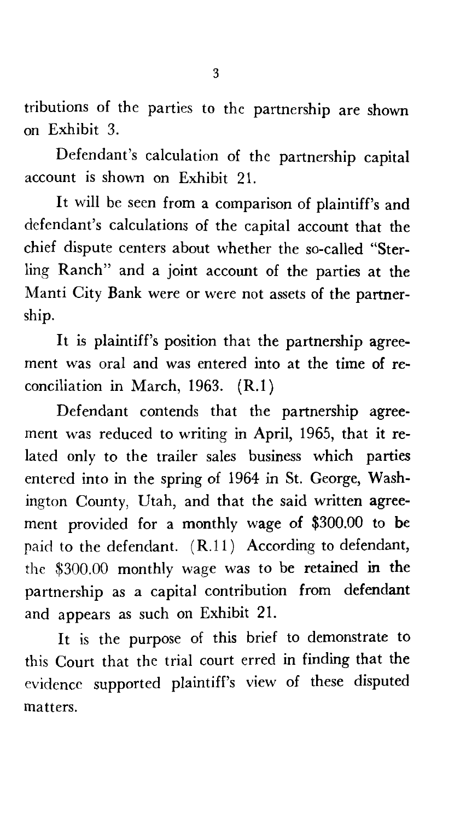tributions of the parties to the partnership are shown on Exhibit 3.

Defendant's calculation of the partnership capital account is shown on Exhibit 21.

It will be seen from a comparison of plaintiff's and defendant's calculations of the capital account that the chief dispute centers about whether the so-called "Sterling Ranch" and a joint account of the parties at the Manti City Bank were or were not assets of the partnership.

It is plaintiff's position that the partnership agreement was oral and was entered into at the time of reconciliation in March, 1963. (R.l)

Defendant contends that the partnership agreement was reduced to writing in April, 1965, that it related only to the trailer sales business which parties entered into in the spring of 1964 in St. George, Washington County, Utah, and that the said written agreement provided for a monthly wage of \$300.00 to be paid to the defendant. (R.11) According to defendant, the \$300.00 monthly wage was to be retained in the partnership as a capital contribution from defendant and appears as such on Exhibit 21.

It is the purpose of this brief to demonstrate to this Court that the trial court erred in finding that the evidence supported plaintiff's view of these disputed matters.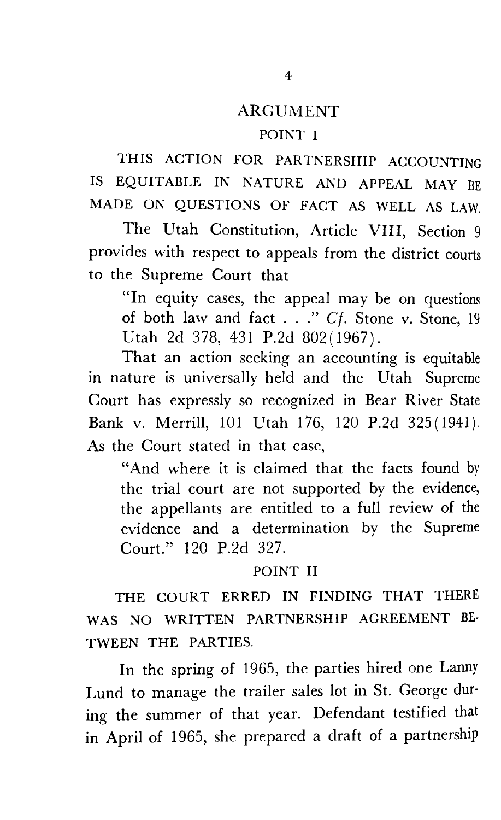## **ARGUMENT**

#### POINT I

THIS ACTION FOR PARTNERSHIP ACCOUNTING IS EQUITABLE IN NATURE AND APPEAL MAY BE MADE ON QUESTIONS OF FACT AS WELL AS LAW.

The Utah Constitution, Article VIII, Section 9 provides with respect to appeals from the district courts to the Supreme Court that

"In equity cases, the appeal may be on questions of both law and fact  $\therefore$  " Cf. Stone v. Stone, 19 Utah 2d 378, 431 P.2d 802(1967).

That an action seeking an accounting is equitable m nature is universally held and the Utah Supreme Court has expressly so recognized in Bear River State Bank v. Merrill, 101 Utah 176, 120 P.2d 325(1941). As the Court stated in that case,

"And where it is claimed that the facts found by the trial court are not supported by the evidence, the appellants are entitled to a full review of the evidence and a determination by the Supreme Court." 120 P.2d 327.

#### POINT II

THE COURT ERRED IN FINDING THAT THERE WAS NO WRITTEN PARTNERSHIP AGREEMENT BE-TWEEN THE PARTIES.

In the spring of 1965, the parties hired one Lanny Lund to manage the trailer sales lot in St. George during the summer of that year. Defendant testified that in April of 1965, she prepared a draft of a partnership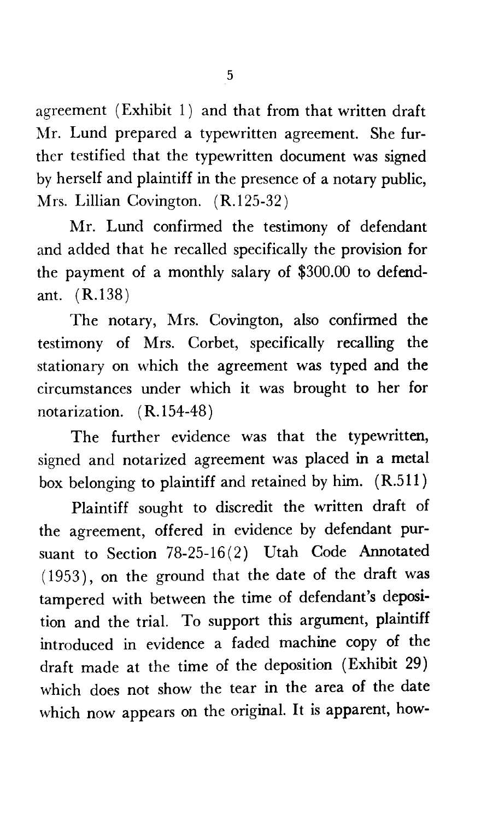agreement (Exhibit  $1$ ) and that from that written draft Mr. Lund prepared a typewritten agreement. She further testified that the typewritten document was signed by herself and plaintiff in the presence of a notary public, Mrs. Lillian Covington. (R.125-32)

Mr. Lund confirmed the testimony of defendant and added that he recalled specifically the provision for the payment of a monthly salary of \$300.00 to defendant. (R.138)

The notary, Mrs. Covington, also confirmed the testimony of Mrs. Corbet, specifically recalling the stationary on which the agreement was typed and the circumstances under which it was brought to her for notarization. (R.154-48)

The further evidence was that the typewritten, signed and notarized agreement was placed in a metal box belonging to plaintiff and retained by him. ( R.511 )

Plaintiff sought to discredit the written draft of the agreement, offered in evidence by defendant pursuant to Section 78-25-16(2) Utah Code Annotated ( 1953), on the ground that the date of the draft was tampered with between the time of defendant's deposition and the trial. To support this argument, plaintiff introduced in evidence a faded machine copy of the draft made at the time of the deposition (Exhibit 29) which does not show the tear in the area of the date which now appears on the original. It is apparent, how-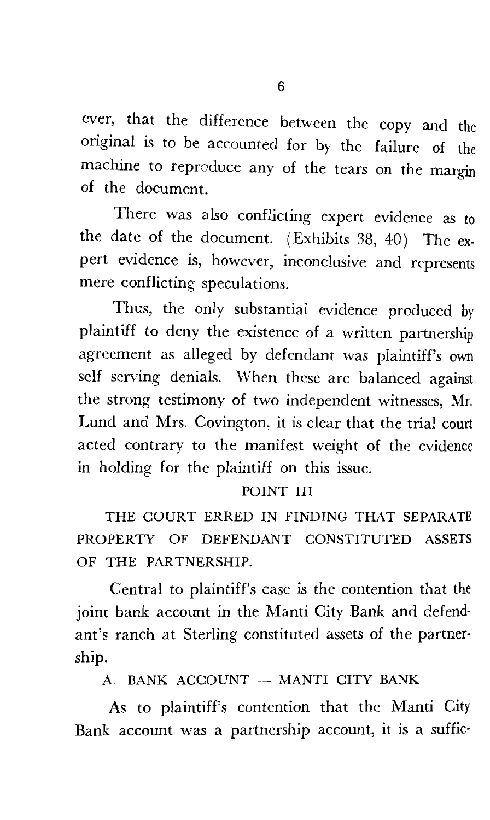ever, that the difference between the copy and the original is to be accounted for by the failure of the machine to reproduce any of the tears on the margin of the document.

There was also conflicting expert evidence as to the date of the document. (Exhibits 38, 40) The expert evidence is, however, inconclusive and represents mere conflicting speculations.

Thus, the only substantial evidence produced by plaintiff to deny the existence of a written partnership agreement as alleged by defendant was plaintiff's own self serving denials. When these are balanced against the strong testimony of two independent witnesses, Mr. Lund and Mrs. Covington, it is clear that the trial court acted contrary to the manifest weight of the evidence m holding for the plaintiff on this issue.

#### POINT III

THE COURT ERRED IN FINDING THAT SEPARATE PROPERTY OF DEFENDANT CONSTITUTED ASSETS OF THE PARTNERSHIP.

Central to plaintiff's case is the contention that the joint bank account in the Manti City Bank and defendant's ranch at Sterling constituted assets of the partner· ship.

A. BANK ACCOUNT - MANTI CITY BANK

As to plaintiff's contention that the Manti City Bank account was a partnership account, it is a suffic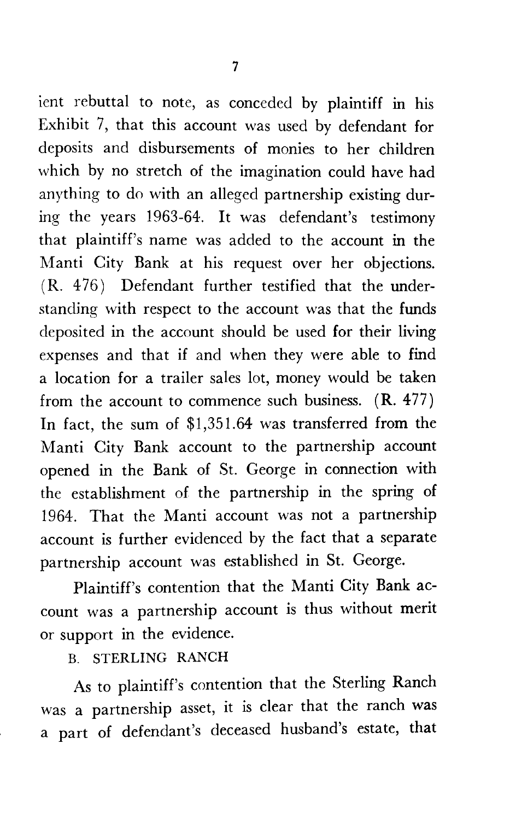ient rebuttal to note, as conceded by plaintiff in his Exhibit 7, that this account was used by defendant for deposits and disbursements of monies to her children which by no stretch of the imagination could have had anything to do with an alleged partnership existing during the years 1963-64. It was defendant's testimony that plaintiff's name was added to the account in the Manti City Bank at his request over her objections. ( R. 4 76) Defendant further testified that the understanding with respect to the account was that the funds deposited in the account should be used for their living expenses and that if and when they were able to find a location for a trailer sales lot, money would be taken from the account to commence such business.  $(R. 477)$ In fact, the sum of \$1,351.64 was transferred from the Manti City Bank account to the partnership account opened in the Bank of St. George in connection with the establishment of the partnership in the spring of 1964. That the Manti account was not a partnership account is further evidenced by the fact that a separate partnership account was established in St. George.

Plaintiff's contention that the Manti City Bank account was a partnership account is thus without merit or support in the evidence.

B. STERLING RANCH

As to plaintiff's contention that the Sterling Ranch was a partnership asset, it is clear that the ranch was a part of defendant's deceased husband's estate, that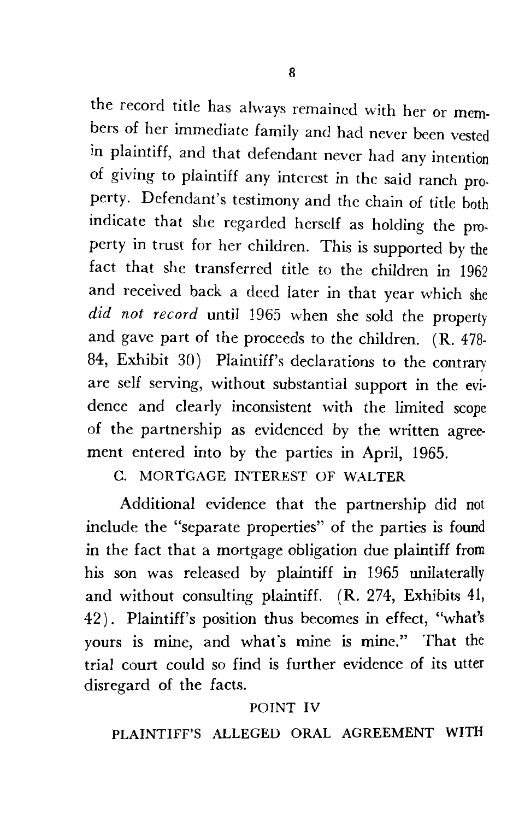the record title has always remained with her or members of her immediate family and had never been vested in plaintiff, and that defendant never had any intention of giving to plaintiff any interest in the said ranch property. Defendant's testimony and the chain of title both indicate that she regarded herself as holding the property in trust for her children. This is supported by the fact that she transferred title to the children in 1962 and received back a deed later in that year which she *did not record* until 1965 when she sold the property and gave part of the proceeds to the children. (R. 478-84, Exhibit 30) Plaintiff's declarations to the contrary are self serving, without substantial support in the evidence and clearly inconsistent with the limited scope of the partnership as evidenced by the written agreement entered into by the parties in April, 1965.

C. MORTGAGE INTEREST OF WALTER

Additional evidence that the partnership did not include the "separate properties" of the parties is found in the fact that a mortgage obligation due plaintiff from his son was released by plaintiff in 1965 unilaterally and without consulting plaintiff. (R. 274, Exhibits 41, 42). Plaintiff's position thus becomes in effect, "what's yours is mine, and what's mine is mine." That the trial court could so find is further evidence of its utter disregard of the facts.

### POINT IV

PLAINTIFF'S ALLEGED ORAL AGREEMENT WITH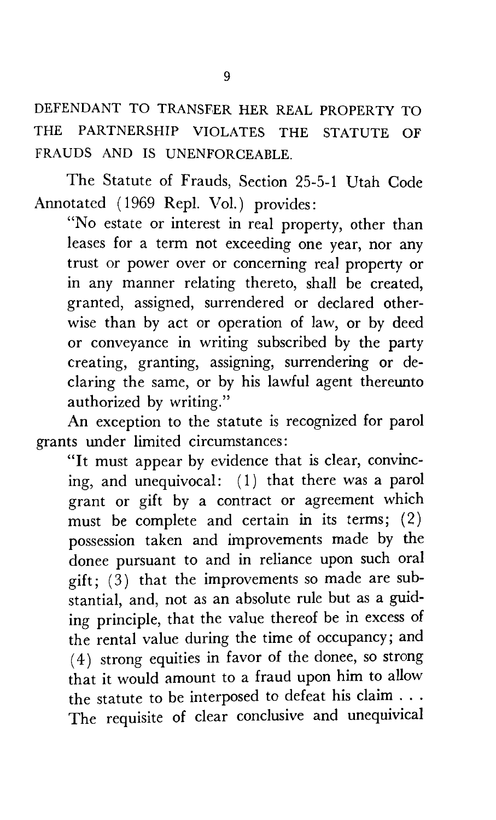DEFENDANT TO TRANSFER HER REAL PROPERTY TO THE PARTNERSHIP VIOLATES THE STATUTE OF FRAUDS AND IS UNENFORCEABLE.

The Statute of Frauds, Section 25-5-1 Utah Code Annotated ( 1969 Repl. Vol.) provides:

"No estate or interest in real property, other than leases for a term not exceeding one year, nor any trust or power over or concerning real property or in any manner relating thereto, shall be created, granted, assigned, surrendered or declared otherwise than by act or operation of law, or by deed or conveyance in writing subscribed by the party creating, granting, assigning, surrendering or declaring the same, or by his lawful agent thereunto authorized by writing."

An exception to the statute is recognized for parol grants under limited circumstances:

"It must appear by evidence that is clear, convincing, and unequivocal:  $(1)$  that there was a parol grant or gift by a contract or agreement which must be complete and certain in its terms; (2) possession taken and improvements made by the donee pursuant to and in reliance upon such oral gift;  $(3)$  that the improvements so made are substantial, and, not as an absolute rule but as a guiding principle, that the value thereof be in excess of the rental value during the time of occupancy; and ( 4) strong equities in favor of the donee, so strong that it would amount to a fraud upon him to allow the statute to be interposed to defeat his claim ... The requisite of clear conclusive and unequivical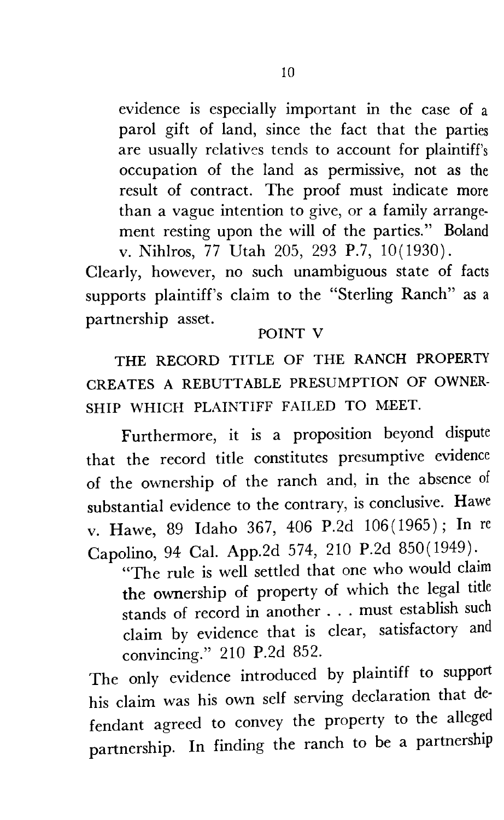evidence is especially important in the case of a parol gift of land, since the fact that the parties are usually relatives tends to account for plaintiff's occupation of the land as permissive, not as the result of contract. The proof must indicate more than a vague intention to give, or a family arrangement resting upon the will of the parties." Boland v. Nihlros, 77 Utah 205, 293 P.7, 10(1930).

Clearly, however, no such unambiguous state of facts supports plaintiff's claim to the "Sterling Ranch" as a partnership asset.

#### POINT V

THE RECORD TITLE OF THE RANCH PROPERTY CREATES A REBUTT ABLE PRESUMPTION OF OWNER-SHIP WHICH PLAINTIFF FAILED TO MEET.

Furthermore, it is a proposition beyond dispute that the record title constitutes presumptive evidence of the ownership of the ranch and, in the absence of substantial evidence to the contrary, is conclusive. Hawe v. Hawe, 89 Idaho 367, 406 P.2d 106(1965); In re Capolino, 94 Cal. App.2d 574, 210 P.2d 850(1949).

"The rule is well settled that one who would claim the ownership of property of which the legal title stands of record in another . . . must establish such claim by evidence that is clear, satisfactory and convincing." 210 P.2d 852.

The only evidence introduced by plaintiff to support his claim was his own self serving declaration that de· fendant agreed to convey the property to the alleged partnership. In finding the ranch to be a partnership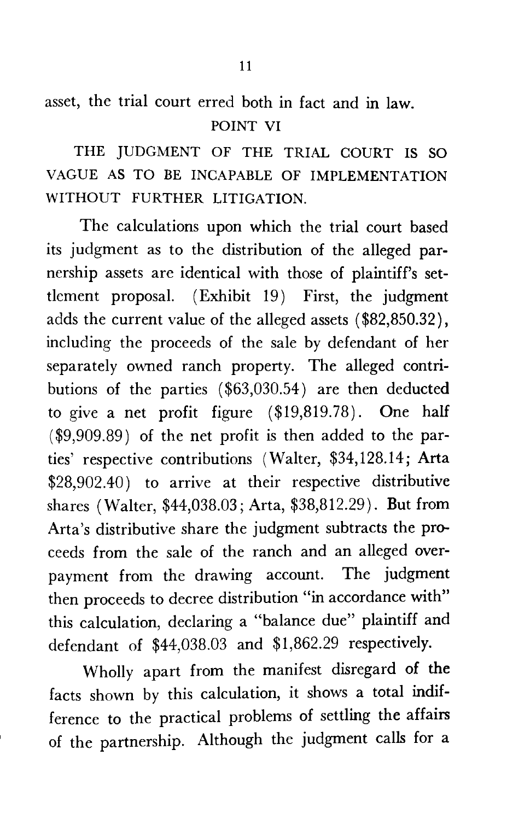asset, the trial court erred both in fact and in law. POINT VI

THE JUDGMENT OF THE TRIAL COURT IS SO VAGUE AS TO BE INCAPABLE OF IMPLEMENTATION WITHOUT FURTHER LITIGATION.

The calculations upon which the trial court based its judgment as to the distribution of the alleged parnership assets are identical with those of plaintiff's settlement proposal. (Exhibit 19) First, the judgment adds the current value of the alleged assets ( \$82,850.32), including the proceeds of the sale by defendant of her separately owned ranch property. The alleged contributions of the parties  $(\$63,030.54)$  are then deducted to give a net profit figure (\$19,819.78). One half (\$9,909.89) of the net profit is then added to the parties' respective contributions (Walter, \$34, 128.14; Arta \$28,902.40) to arrive at their respective distributive shares (Walter, \$44,038.03; Arta, \$38,812.29). **But** from Arta's distributive share the judgment subtracts the proceeds from the sale of the ranch and an alleged overpayment from the drawing account. The judgment then proceeds to decree distribution "in accordance with" this calculation, declaring a "balance due" plaintiff and defendant of \$44,038.03 and \$1,862.29 respectively.

Wholly apart from the manifest disregard of the facts shown by this calculation, it shows a total indifference to the practical problems of settling the affairs of the partnership. Although the judgment calls for a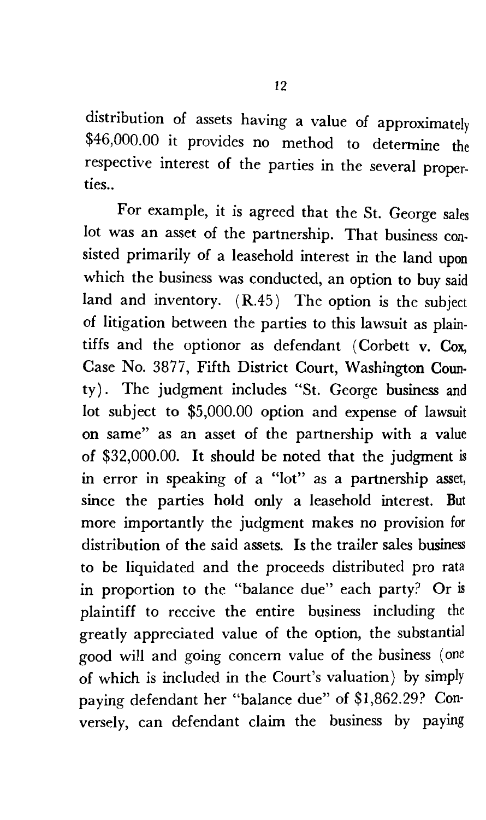distribution of assets having a value of approximately \$46,000.00 it provides no method to determine the respective interest of the parties in the several properties ..

For example, it is agreed that the St. George sales lot was an asset of the partnership. That business consisted primarily of a leasehold interest in the land upon which the business was conducted, an option to buy said land and inventory. (R.45) The option is the subject of litigation between the parties to this lawsuit as plaintiffs and the optionor as defendant (Corbett v. Cox, Case No. 3877, Fifth District Court, Washington County) . The judgment includes "St. George business and lot subject to \$5,000.00 option and expense of lawsuit on same" as an asset of the partnership with a value of \$32,000.00. It should be noted that the judgment is in error in speaking of a "lot" as a partnership asset, since the parties hold only a leasehold interest. But more importantly the judgment makes no provision for distribution of the said assets. Is the trailer sales business to *be* liquidated and the proceeds distributed pro rata in proportion to the "balance due'' each party? Or is plaintiff to receive the entire business including the greatly appreciated value of the option, the substantial good will and going concern value of the business (one of which is included in the Court's valuation) by simply paying defendant her "balance due" of \$1,862.29? Con· versely, can defendant claim the business by paying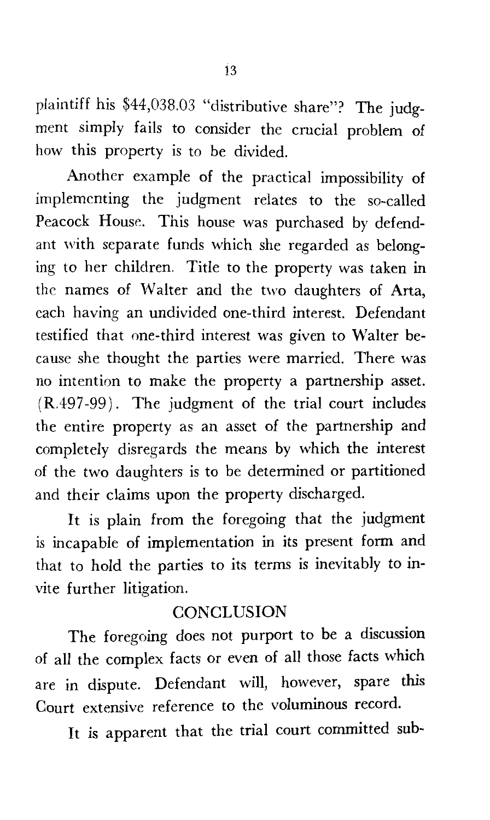plaintiff his \$44,038.03 "distributive share"? The judgment simply fails to consider the crucial problem of how this property is to be divided.

Another example of the practical impossibility of implementing the judgment relates to the so-called Peacock House. This house was purchased by defendant with separate funds which she regarded as belonging to her children. Title to the property was taken in the names of Walter and the two daughters of Arta, each having an undivided one-third interest. Defendant testified that one-third interest was given to Walter because she thought the parties were married. There was no intention to make the property a partnership asset. (R.497-99). The judgment of the trial court includes the entire property as an asset of the partnership and completely disregards the means by which the interest of the two daughters is to be determined or partitioned and their claims upon the property discharged.

It is plain from the foregoing that the judgment is incapable of implementation in its present form and that to hold the parties to its terms is inevitably to invite further litigation.

## **CONCLUSION**

The foregoing does not purport to be a discussion of all the complex facts or even of all those facts which are in dispute. Defendant will, however, spare this Court extensive reference to the voluminous record.

It is apparent that the trial court committed sub-